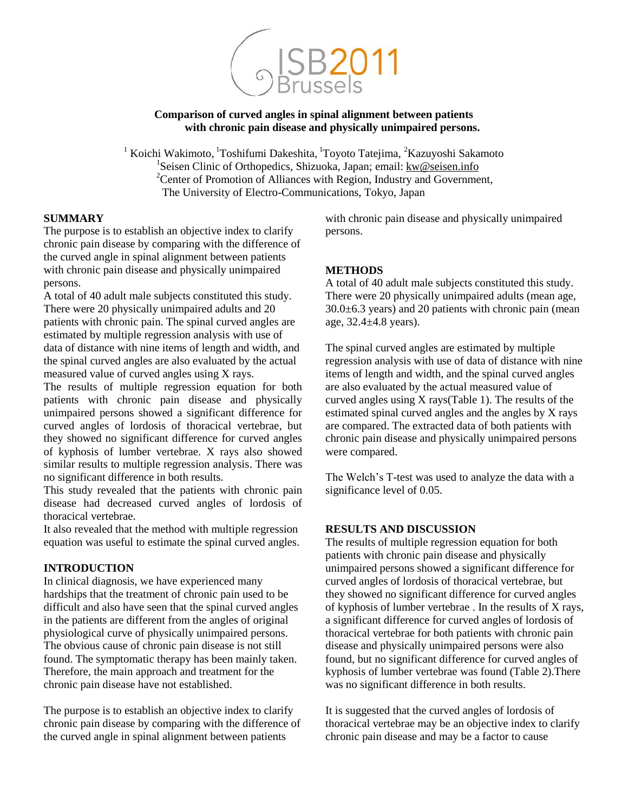

### **Comparison of curved angles in spinal alignment between patients with chronic pain disease and physically unimpaired persons.**

<sup>1</sup> Koichi Wakimoto, <sup>1</sup>Toshifumi Dakeshita, <sup>1</sup>Toyoto Tatejima, <sup>2</sup>Kazuyoshi Sakamoto <sup>1</sup>Seisen Clinic of Orthopedics, Shizuoka, Japan; email: [kw@seisen.info](mailto:kw@seisen.info)  $2$ Center of Promotion of Alliances with Region, Industry and Government, The University of Electro-Communications, Tokyo, Japan

### **SUMMARY**

The purpose is to establish an objective index to clarify chronic pain disease by comparing with the difference of the curved angle in spinal alignment between patients with chronic pain disease and physically unimpaired persons.

A total of 40 adult male subjects constituted this study. There were 20 physically unimpaired adults and 20 patients with chronic pain. The spinal curved angles are estimated by multiple regression analysis with use of data of distance with nine items of length and width, and the spinal curved angles are also evaluated by the actual measured value of curved angles using X rays.

The results of multiple regression equation for both patients with chronic pain disease and physically unimpaired persons showed a significant difference for curved angles of lordosis of thoracical vertebrae, but they showed no significant difference for curved angles of kyphosis of lumber vertebrae. X rays also showed similar results to multiple regression analysis. There was no significant difference in both results.

This study revealed that the patients with chronic pain disease had decreased curved angles of lordosis of thoracical vertebrae.

It also revealed that the method with multiple regression equation was useful to estimate the spinal curved angles.

### **INTRODUCTION**

In clinical diagnosis, we have experienced many hardships that the treatment of chronic pain used to be difficult and also have seen that the spinal curved angles in the patients are different from the angles of original physiological curve of physically unimpaired persons. The obvious cause of chronic pain disease is not still found. The symptomatic therapy has been mainly taken. Therefore, the main approach and treatment for the chronic pain disease have not established.

The purpose is to establish an objective index to clarify chronic pain disease by comparing with the difference of the curved angle in spinal alignment between patients

with chronic pain disease and physically unimpaired persons.

# **METHODS**

A total of 40 adult male subjects constituted this study. There were 20 physically unimpaired adults (mean age,  $30.0\pm6.3$  years) and 20 patients with chronic pain (mean age, 32.4±4.8 years).

The spinal curved angles are estimated by multiple regression analysis with use of data of distance with nine items of length and width, and the spinal curved angles are also evaluated by the actual measured value of curved angles using X rays(Table 1). The results of the estimated spinal curved angles and the angles by X rays are compared. The extracted data of both patients with chronic pain disease and physically unimpaired persons were compared.

The Welch's T-test was used to analyze the data with a significance level of 0.05.

# **RESULTS AND DISCUSSION**

The results of multiple regression equation for both patients with chronic pain disease and physically unimpaired persons showed a significant difference for curved angles of lordosis of thoracical vertebrae, but they showed no significant difference for curved angles of kyphosis of lumber vertebrae . In the results of X rays, a significant difference for curved angles of lordosis of thoracical vertebrae for both patients with chronic pain disease and physically unimpaired persons were also found, but no significant difference for curved angles of kyphosis of lumber vertebrae was found (Table 2).There was no significant difference in both results.

It is suggested that the curved angles of lordosis of thoracical vertebrae may be an objective index to clarify chronic pain disease and may be a factor to cause